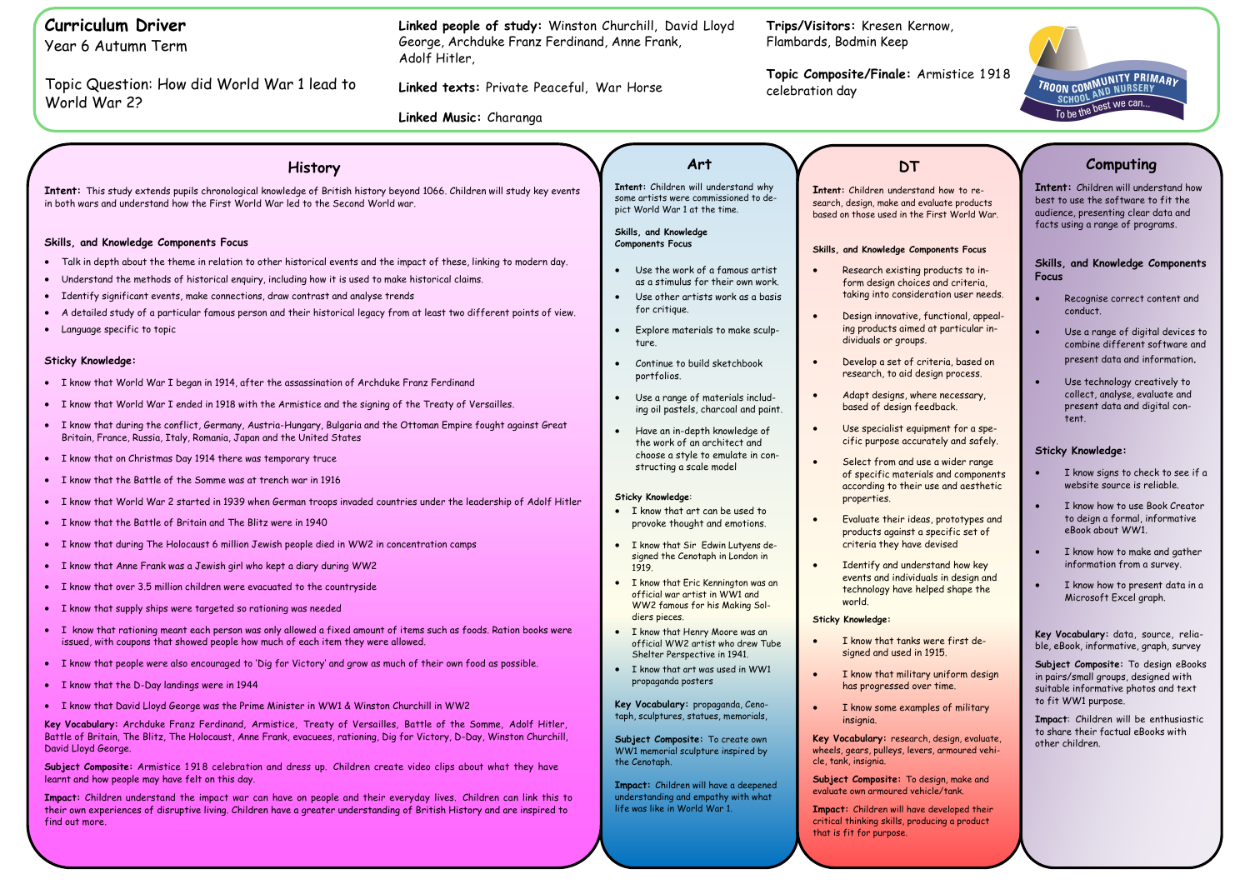**Topic Composite/Finale:** Armistice 1 91 8

TROON COMMUNITY PRIMARY<br>SCHOOL AND NURSERY<br>To be the best we can...

**I** to ree products world War.

## **Skills, and Knowledge Components Focus**

cts to incriteria, i user needs.

ional, appealirticular in-

r, based on process.

ecessary,

for a speand safely.

ider range components nd aesthetic

ptotypes and fic set of

I how key design and shape the

first de-

Form design

military

<sup>i</sup>gn, evaluate, woured vehi-

make and

**Ioped their** a product

| <b>Curriculum Driver</b><br>Year 6 Autumn Term                                                                                                                                                                                                                                                                                                                                                                                                                                                 | Linked people of study: Winston Churchill, David Lloyd<br>George, Archduke Franz Ferdinand, Anne Frank,<br>Adolf Hitler,<br>Linked texts: Private Peaceful, War Horse |                                                                                                                                                                         | Trips/Visitors: Kresen Kernow,<br>Flambards, Bodmin Keep<br>Topic Composite/Finale: Armistic<br>celebration day |                                                                                                                                                                                           |  |
|------------------------------------------------------------------------------------------------------------------------------------------------------------------------------------------------------------------------------------------------------------------------------------------------------------------------------------------------------------------------------------------------------------------------------------------------------------------------------------------------|-----------------------------------------------------------------------------------------------------------------------------------------------------------------------|-------------------------------------------------------------------------------------------------------------------------------------------------------------------------|-----------------------------------------------------------------------------------------------------------------|-------------------------------------------------------------------------------------------------------------------------------------------------------------------------------------------|--|
| Topic Question: How did World War 1 lead to<br>World War 2?                                                                                                                                                                                                                                                                                                                                                                                                                                    |                                                                                                                                                                       |                                                                                                                                                                         |                                                                                                                 |                                                                                                                                                                                           |  |
|                                                                                                                                                                                                                                                                                                                                                                                                                                                                                                | Linked Music: Charanga                                                                                                                                                |                                                                                                                                                                         |                                                                                                                 |                                                                                                                                                                                           |  |
|                                                                                                                                                                                                                                                                                                                                                                                                                                                                                                |                                                                                                                                                                       |                                                                                                                                                                         |                                                                                                                 |                                                                                                                                                                                           |  |
| <b>History</b>                                                                                                                                                                                                                                                                                                                                                                                                                                                                                 |                                                                                                                                                                       | Art                                                                                                                                                                     |                                                                                                                 | <b>DT</b>                                                                                                                                                                                 |  |
| Intent: This study extends pupils chronological knowledge of British history beyond 1066. Children will study key events<br>in both wars and understand how the First World War led to the Second World war.                                                                                                                                                                                                                                                                                   |                                                                                                                                                                       | Intent: Children will understand why<br>some artists were commissioned to de-<br>pict World War 1 at the time.                                                          |                                                                                                                 | Intent: Children understand how to<br>search, design, make and evaluate pro<br>based on those used in the First Wor                                                                       |  |
| Skills, and Knowledge Components Focus                                                                                                                                                                                                                                                                                                                                                                                                                                                         |                                                                                                                                                                       | Skills, and Knowledge<br><b>Components Focus</b>                                                                                                                        |                                                                                                                 | Skills, and Knowledge Components F                                                                                                                                                        |  |
| Talk in depth about the theme in relation to other historical events and the impact of these, linking to modern day.<br>$\bullet$<br>Understand the methods of historical enquiry, including how it is used to make historical claims.<br>Identify significant events, make connections, draw contrast and analyse trends<br>$\bullet$<br>A detailed study of a particular famous person and their historical legacy from at least two different points of view.<br>Language specific to topic |                                                                                                                                                                       | Use the work of a famous artist<br>as a stimulus for their own work.<br>Use other artists work as a basis<br>for critique.<br>Explore materials to make sculp-<br>ture. |                                                                                                                 | Research existing products -<br>form design choices and crit<br>taking into consideration use<br>Design innovative, functional<br>ing products aimed at partic<br>dividuals or groups.    |  |
| <b>Sticky Knowledge:</b>                                                                                                                                                                                                                                                                                                                                                                                                                                                                       |                                                                                                                                                                       | Continue to build sketchbook<br>portfolios.                                                                                                                             |                                                                                                                 | Develop a set of criteria, ba<br>research, to aid design proce                                                                                                                            |  |
| • I know that World War I began in 1914, after the assassination of Archduke Franz Ferdinand<br>• I know that World War I ended in 1918 with the Armistice and the signing of the Treaty of Versailles.                                                                                                                                                                                                                                                                                        |                                                                                                                                                                       | Use a range of materials includ-<br>ing oil pastels, charcoal and paint.                                                                                                |                                                                                                                 | Adapt designs, where necess<br>based of design feedback.                                                                                                                                  |  |
| . I know that during the conflict, Germany, Austria-Hungary, Bulgaria and the Ottoman Empire fought against Great<br>Britain, France, Russia, Italy, Romania, Japan and the United States<br>• I know that on Christmas Day 1914 there was temporary truce                                                                                                                                                                                                                                     |                                                                                                                                                                       | Have an in-depth knowledge of<br>the work of an architect and<br>choose a style to emulate in con-<br>structing a scale model                                           |                                                                                                                 | Use specialist equipment for<br>cific purpose accurately and<br>Select from and use a wider<br>of specific materials and cor                                                              |  |
| • I know that the Battle of the Somme was at trench war in 1916<br>. I know that World War 2 started in 1939 when German troops invaded countries under the leadership of Adolf Hitler                                                                                                                                                                                                                                                                                                         |                                                                                                                                                                       | Sticky Knowledge:<br>• I know that art can be used to                                                                                                                   | $\bullet$                                                                                                       | according to their use and a<br>properties.<br>Evaluate their ideas, prototy                                                                                                              |  |
| • I know that the Battle of Britain and The Blitz were in 1940<br>• I know that during The Holocaust 6 million Jewish people died in WW2 in concentration camps<br>• I know that Anne Frank was a Jewish girl who kept a diary during WW2                                                                                                                                                                                                                                                      |                                                                                                                                                                       | provoke thought and emotions.<br>I know that Sir Edwin Lutyens de-<br>signed the Cenotaph in London in<br>1919.                                                         |                                                                                                                 | products against a specific s<br>criteria they have devised<br>Identify and understand hov<br>events and individuals in des                                                               |  |
| • I know that over 3.5 million children were evacuated to the countryside<br>• I know that supply ships were targeted so rationing was needed                                                                                                                                                                                                                                                                                                                                                  |                                                                                                                                                                       | I know that Eric Kennington was an<br>official war artist in WW1 and<br>WW2 famous for his Making Sol-<br>diers pieces.                                                 |                                                                                                                 | technology have helped shap<br>world.                                                                                                                                                     |  |
| . I know that rationing meant each person was only allowed a fixed amount of items such as foods. Ration books were<br>issued, with coupons that showed people how much of each item they were allowed.                                                                                                                                                                                                                                                                                        |                                                                                                                                                                       | • I know that Henry Moore was an<br>official WW2 artist who drew Tube                                                                                                   |                                                                                                                 | <b>Sticky Knowledge:</b><br>I know that tanks were first<br>signed and used in 1915.                                                                                                      |  |
| I know that people were also encouraged to 'Dig for Victory' and grow as much of their own food as possible.<br>• I know that the D-Day landings were in 1944                                                                                                                                                                                                                                                                                                                                  |                                                                                                                                                                       | Shelter Perspective in 1941.<br>I know that art was used in WW1<br>propaganda posters                                                                                   |                                                                                                                 | I know that military uniform<br>has progressed over time.                                                                                                                                 |  |
| • I know that David Lloyd George was the Prime Minister in WW1 & Winston Churchill in WW2<br>Key Vocabulary: Archduke Franz Ferdinand, Armistice, Treaty of Versailles, Battle of the Somme, Adolf Hitler,                                                                                                                                                                                                                                                                                     |                                                                                                                                                                       | Key Vocabulary: propaganda, Ceno-<br>taph, sculptures, statues, memorials,                                                                                              |                                                                                                                 | I know some examples of mil<br>insignia.                                                                                                                                                  |  |
| Battle of Britain, The Blitz, The Holocaust, Anne Frank, evacuees, rationing, Dig for Victory, D-Day, Winston Churchill,<br>David Lloyd George.                                                                                                                                                                                                                                                                                                                                                |                                                                                                                                                                       | Subject Composite: To create own<br>WW1 memorial sculpture inspired by<br>the Cenotaph.                                                                                 |                                                                                                                 | Key Vocabulary: research, design, a<br>wheels, gears, pulleys, levers, armour<br>cle, tank, insignia.                                                                                     |  |
| Subject Composite: Armistice 1918 celebration and dress up. Children create video clips about what they have<br>learnt and how people may have felt on this day.<br>Impact: Children understand the impact war can have on people and their everyday lives. Children can link this to<br>their own experiences of disruptive living. Children have a greater understanding of British History and are inspired to<br>find out more.                                                            |                                                                                                                                                                       | Impact: Children will have a deepened<br>understanding and empathy with what<br>life was like in World War 1.                                                           |                                                                                                                 | Subject Composite: To design, mak<br>evaluate own armoured vehicle/tank.<br>Impact: Children will have developed<br>critical thinking skills, producing a pro<br>that is fit for purpose. |  |

- Recognise correct content and conduct.
- Use a range of digital devices to combine different software and present data and information.
- Use technology creatively to collect, analyse, evaluate and present data and digital content.

# **Computing**

**Intent:** Children will understand how best to use the software to fit the audience, presenting clear data and facts using a range of programs.

### **Skills, and Knowledge Components Focus**

# **Sticky Knowledge:**

- I know signs to check to see if a website source is reliable.
- I know how to use Book Creator to deign a formal, informative eBook about WW1.
- I know how to make and gather information from a survey.
- I know how to present data in a Microsoft Excel graph.

**Key Vocabulary:** data, source, reliable, eBook, informative, graph, survey

**Subject Composite:** To design eBooks in pairs/small groups, designed with suitable informative photos and text to fit WW1 purpose.

**Impact**: Children will be enthusiastic to share their factual eBooks with other children.